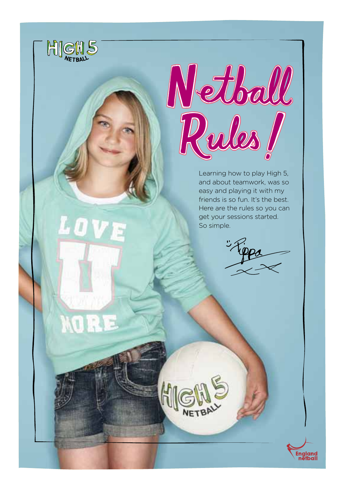

**MOR** 



Learning how to play High 5, and about teamwork, was so easy and playing it with my friends is so fun. It's the best. Here are the rules so you can get your sessions started. So simple.

Hepo